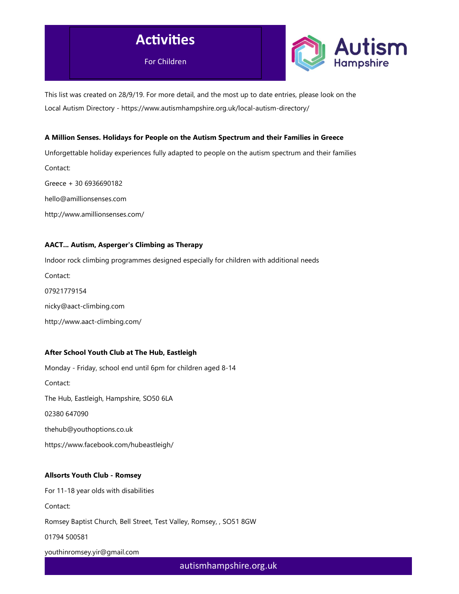



This list was created on 28/9/19. For more detail, and the most up to date entries, please look on the Local Autism Directory - https://www.autismhampshire.org.uk/local-autism-directory/

### A Million Senses. Holidays for People on the Autism Spectrum and their Families in Greece

Unforgettable holiday experiences fully adapted to people on the autism spectrum and their families Contact: Greece + 30 6936690182 hello@amillionsenses.com http://www.amillionsenses.com/

# AACT... Autism, Asperger's Climbing as Therapy

Indoor rock climbing programmes designed especially for children with additional needs Contact: 07921779154 nicky@aact-climbing.com http://www.aact-climbing.com/

# After School Youth Club at The Hub, Eastleigh

Monday - Friday, school end until 6pm for children aged 8-14 Contact: The Hub, Eastleigh, Hampshire, SO50 6LA 02380 647090 thehub@youthoptions.co.uk https://www.facebook.com/hubeastleigh/

### Allsorts Youth Club - Romsey

For 11-18 year olds with disabilities Contact: Romsey Baptist Church, Bell Street, Test Valley, Romsey, , SO51 8GW 01794 500581 youthinromsey.yir@gmail.com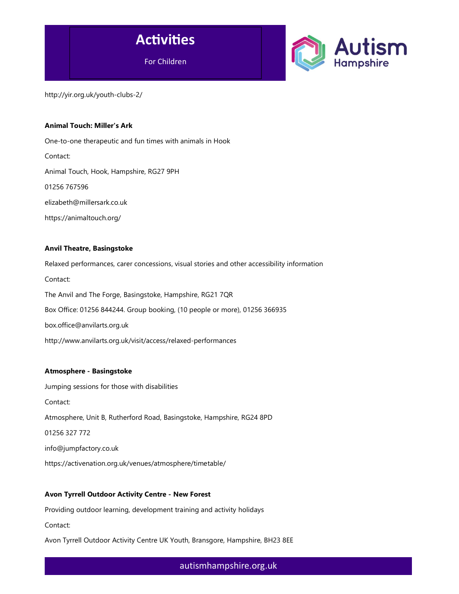



http://yir.org.uk/youth-clubs-2/

### Animal Touch: Miller's Ark

One-to-one therapeutic and fun times with animals in Hook Contact: Animal Touch, Hook, Hampshire, RG27 9PH 01256 767596 elizabeth@millersark.co.uk https://animaltouch.org/

### Anvil Theatre, Basingstoke

Relaxed performances, carer concessions, visual stories and other accessibility information Contact: The Anvil and The Forge, Basingstoke, Hampshire, RG21 7QR Box Office: 01256 844244. Group booking, (10 people or more), 01256 366935 box.office@anvilarts.org.uk http://www.anvilarts.org.uk/visit/access/relaxed-performances

#### Atmosphere - Basingstoke

Jumping sessions for those with disabilities Contact: Atmosphere, Unit B, Rutherford Road, Basingstoke, Hampshire, RG24 8PD 01256 327 772 info@jumpfactory.co.uk https://activenation.org.uk/venues/atmosphere/timetable/

### Avon Tyrrell Outdoor Activity Centre - New Forest

Providing outdoor learning, development training and activity holidays

Contact:

Avon Tyrrell Outdoor Activity Centre UK Youth, Bransgore, Hampshire, BH23 8EE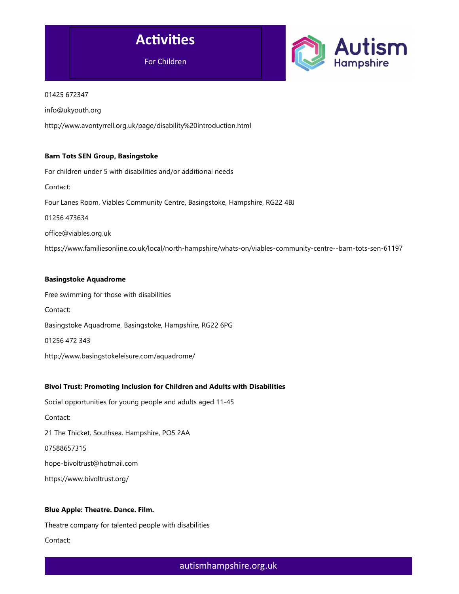



### 01425 672347

info@ukyouth.org

http://www.avontyrrell.org.uk/page/disability%20introduction.html

### Barn Tots SEN Group, Basingstoke

For children under 5 with disabilities and/or additional needs Contact: Four Lanes Room, Viables Community Centre, Basingstoke, Hampshire, RG22 4BJ 01256 473634 office@viables.org.uk https://www.familiesonline.co.uk/local/north-hampshire/whats-on/viables-community-centre--barn-tots-sen-61197

### Basingstoke Aquadrome

Free swimming for those with disabilities Contact: Basingstoke Aquadrome, Basingstoke, Hampshire, RG22 6PG 01256 472 343 http://www.basingstokeleisure.com/aquadrome/

# Bivol Trust: Promoting Inclusion for Children and Adults with Disabilities

Social opportunities for young people and adults aged 11-45 Contact: 21 The Thicket, Southsea, Hampshire, PO5 2AA 07588657315 hope-bivoltrust@hotmail.com https://www.bivoltrust.org/

# Blue Apple: Theatre. Dance. Film.

Theatre company for talented people with disabilities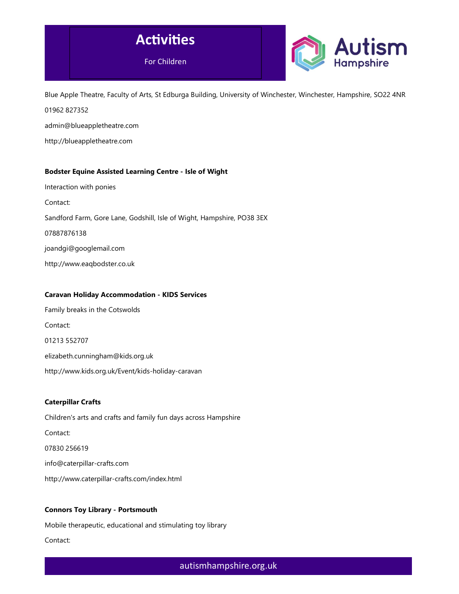



Blue Apple Theatre, Faculty of Arts, St Edburga Building, University of Winchester, Winchester, Hampshire, SO22 4NR 01962 827352

admin@blueappletheatre.com

http://blueappletheatre.com

# Bodster Equine Assisted Learning Centre - Isle of Wight

Interaction with ponies

Contact:

Sandford Farm, Gore Lane, Godshill, Isle of Wight, Hampshire, PO38 3EX

07887876138

joandgi@googlemail.com

http://www.eaqbodster.co.uk

### Caravan Holiday Accommodation - KIDS Services

Family breaks in the Cotswolds Contact: 01213 552707 elizabeth.cunningham@kids.org.uk http://www.kids.org.uk/Event/kids-holiday-caravan

# Caterpillar Crafts

Children's arts and crafts and family fun days across Hampshire Contact: 07830 256619 info@caterpillar-crafts.com http://www.caterpillar-crafts.com/index.html

# Connors Toy Library - Portsmouth

Mobile therapeutic, educational and stimulating toy library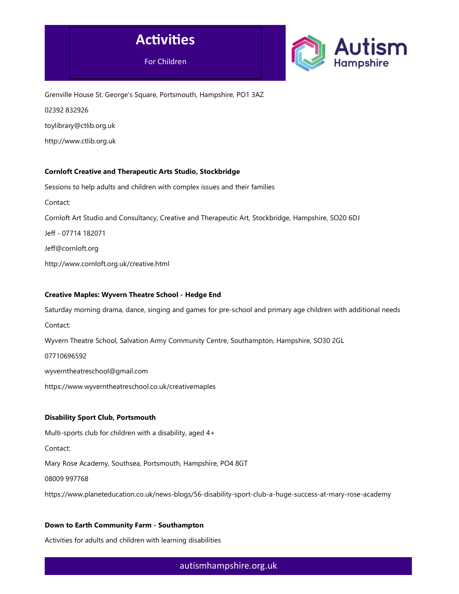



Grenville House St. George's Square, Portsmouth, Hampshire, PO1 3AZ 02392 832926 toylibrary@ctlib.org.uk http://www.ctlib.org.uk

# Cornloft Creative and Therapeutic Arts Studio, Stockbridge

Sessions to help adults and children with complex issues and their families

Contact:

Cornloft Art Studio and Consultancy, Creative and Therapeutic Art, Stockbridge, Hampshire, SO20 6DJ

Jeff - 07714 182071

Jeff@cornloft.org

http://www.cornloft.org.uk/creative.html

# Creative Maples: Wyvern Theatre School - Hedge End

Saturday morning drama, dance, singing and games for pre-school and primary age children with additional needs

Contact:

Wyvern Theatre School, Salvation Army Community Centre, Southampton, Hampshire, SO30 2GL

07710696592

wyverntheatreschool@gmail.com

https://www.wyverntheatreschool.co.uk/creativemaples

### Disability Sport Club, Portsmouth

Multi-sports club for children with a disability, aged 4+

Contact:

Mary Rose Academy, Southsea, Portsmouth, Hampshire, PO4 8GT

08009 997768

https://www.planeteducation.co.uk/news-blogs/56-disability-sport-club-a-huge-success-at-mary-rose-academy

# Down to Earth Community Farm - Southampton

Activities for adults and children with learning disabilities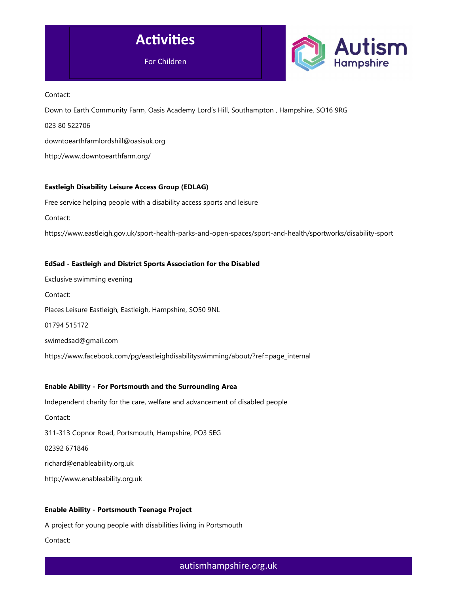



Contact:

Down to Earth Community Farm, Oasis Academy Lord's Hill, Southampton , Hampshire, SO16 9RG

023 80 522706

downtoearthfarmlordshill@oasisuk.org

http://www.downtoearthfarm.org/

# Eastleigh Disability Leisure Access Group (EDLAG)

Free service helping people with a disability access sports and leisure

Contact:

https://www.eastleigh.gov.uk/sport-health-parks-and-open-spaces/sport-and-health/sportworks/disability-sport

# EdSad - Eastleigh and District Sports Association for the Disabled

Exclusive swimming evening Contact: Places Leisure Eastleigh, Eastleigh, Hampshire, SO50 9NL 01794 515172 swimedsad@gmail.com https://www.facebook.com/pg/eastleighdisabilityswimming/about/?ref=page\_internal

# Enable Ability - For Portsmouth and the Surrounding Area

Independent charity for the care, welfare and advancement of disabled people

Contact:

311-313 Copnor Road, Portsmouth, Hampshire, PO3 5EG

02392 671846

richard@enableability.org.uk

http://www.enableability.org.uk

# Enable Ability - Portsmouth Teenage Project

A project for young people with disabilities living in Portsmouth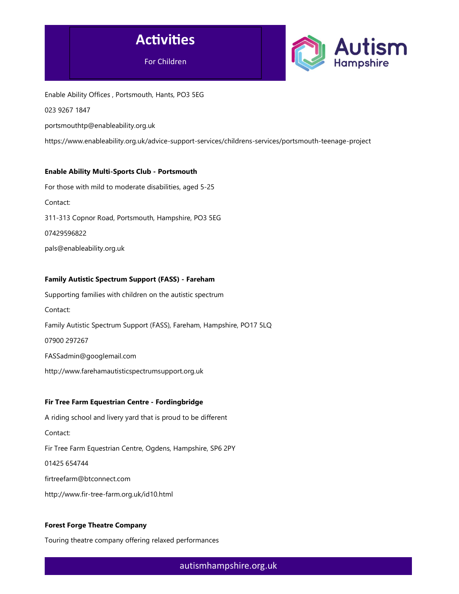



Enable Ability Offices , Portsmouth, Hants, PO3 5EG

023 9267 1847

portsmouthtp@enableability.org.uk

https://www.enableability.org.uk/advice-support-services/childrens-services/portsmouth-teenage-project

### Enable Ability Multi-Sports Club - Portsmouth

For those with mild to moderate disabilities, aged 5-25 Contact: 311-313 Copnor Road, Portsmouth, Hampshire, PO3 5EG 07429596822 pals@enableability.org.uk

### Family Autistic Spectrum Support (FASS) - Fareham

Supporting families with children on the autistic spectrum Contact: Family Autistic Spectrum Support (FASS), Fareham, Hampshire, PO17 5LQ 07900 297267 FASSadmin@googlemail.com

http://www.farehamautisticspectrumsupport.org.uk

### Fir Tree Farm Equestrian Centre - Fordingbridge

A riding school and livery yard that is proud to be different Contact: Fir Tree Farm Equestrian Centre, Ogdens, Hampshire, SP6 2PY 01425 654744 firtreefarm@btconnect.com http://www.fir-tree-farm.org.uk/id10.html

# Forest Forge Theatre Company

Touring theatre company offering relaxed performances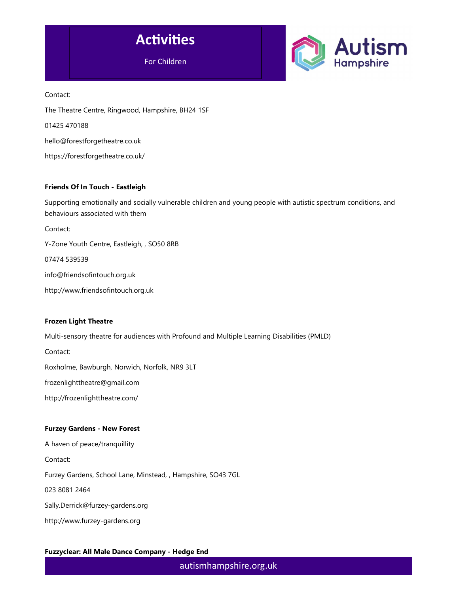



Contact: The Theatre Centre, Ringwood, Hampshire, BH24 1SF 01425 470188 hello@forestforgetheatre.co.uk https://forestforgetheatre.co.uk/

### Friends Of In Touch - Eastleigh

Supporting emotionally and socially vulnerable children and young people with autistic spectrum conditions, and behaviours associated with them

Contact:

Y-Zone Youth Centre, Eastleigh, , SO50 8RB

07474 539539

info@friendsofintouch.org.uk

http://www.friendsofintouch.org.uk

### Frozen Light Theatre

Multi-sensory theatre for audiences with Profound and Multiple Learning Disabilities (PMLD)

Contact:

Roxholme, Bawburgh, Norwich, Norfolk, NR9 3LT

frozenlighttheatre@gmail.com

http://frozenlighttheatre.com/

### Furzey Gardens - New Forest

A haven of peace/tranquillity Contact: Furzey Gardens, School Lane, Minstead, , Hampshire, SO43 7GL 023 8081 2464 Sally.Derrick@furzey-gardens.org

http://www.furzey-gardens.org

Fuzzyclear: All Male Dance Company - Hedge End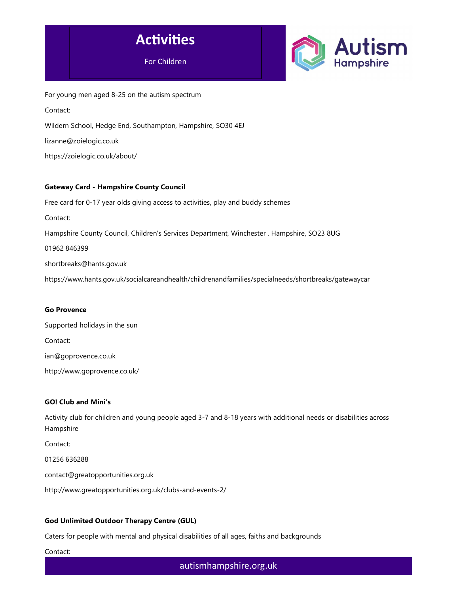



For young men aged 8-25 on the autism spectrum Contact: Wildern School, Hedge End, Southampton, Hampshire, SO30 4EJ lizanne@zoielogic.co.uk https://zoielogic.co.uk/about/

### Gateway Card - Hampshire County Council

Free card for 0-17 year olds giving access to activities, play and buddy schemes Contact: Hampshire County Council, Children's Services Department, Winchester , Hampshire, SO23 8UG 01962 846399 shortbreaks@hants.gov.uk https://www.hants.gov.uk/socialcareandhealth/childrenandfamilies/specialneeds/shortbreaks/gatewaycar

### Go Provence

Supported holidays in the sun Contact: ian@goprovence.co.uk http://www.goprovence.co.uk/

### GO! Club and Mini's

Activity club for children and young people aged 3-7 and 8-18 years with additional needs or disabilities across Hampshire

Contact:

01256 636288

contact@greatopportunities.org.uk

http://www.greatopportunities.org.uk/clubs-and-events-2/

### God Unlimited Outdoor Therapy Centre (GUL)

Caters for people with mental and physical disabilities of all ages, faiths and backgrounds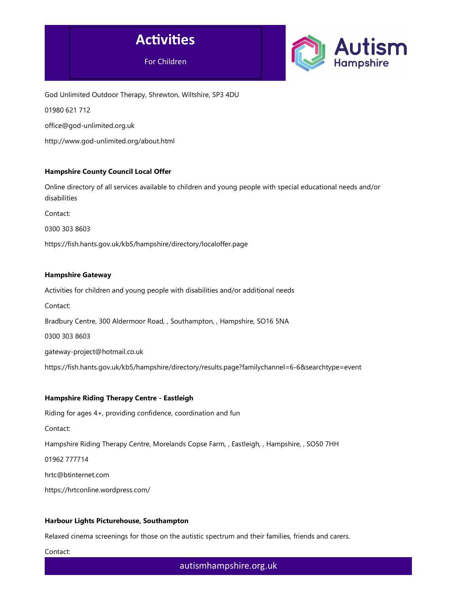



God Unlimited Outdoor Therapy, Shrewton, Wiltshire, SP3 4DU

01980 621 712

office@god-unlimited.org.uk

http://www.god-unlimited.org/about.html

### Hampshire County Council Local Offer

Online directory of all services available to children and young people with special educational needs and/or disabilities

Contact:

0300 303 8603

https://fish.hants.gov.uk/kb5/hampshire/directory/localoffer.page

#### Hampshire Gateway

Activities for children and young people with disabilities and/or additional needs

Contact:

Bradbury Centre, 300 Aldermoor Road, , Southampton, , Hampshire, SO16 5NA

0300 303 8603

gateway-project@hotmail.co.uk

https://fish.hants.gov.uk/kb5/hampshire/directory/results.page?familychannel=6-6&searchtype=event

### Hampshire Riding Therapy Centre - Eastleigh

Riding for ages 4+, providing confidence, coordination and fun Contact: Hampshire Riding Therapy Centre, Morelands Copse Farm, , Eastleigh, , Hampshire, , SO50 7HH 01962 777714 hrtc@btinternet.com https://hrtconline.wordpress.com/

#### Harbour Lights Picturehouse, Southampton

Relaxed cinema screenings for those on the autistic spectrum and their families, friends and carers.

Contact: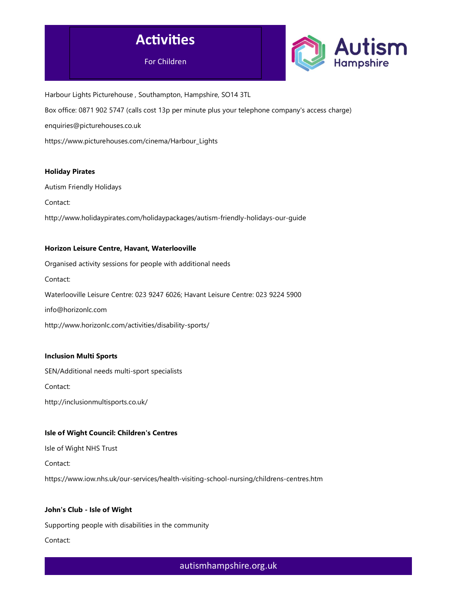



Harbour Lights Picturehouse , Southampton, Hampshire, SO14 3TL Box office: 0871 902 5747 (calls cost 13p per minute plus your telephone company's access charge) enquiries@picturehouses.co.uk https://www.picturehouses.com/cinema/Harbour\_Lights

### Holiday Pirates

Autism Friendly Holidays

Contact:

http://www.holidaypirates.com/holidaypackages/autism-friendly-holidays-our-guide

### Horizon Leisure Centre, Havant, Waterlooville

Organised activity sessions for people with additional needs

Contact:

Waterlooville Leisure Centre: 023 9247 6026; Havant Leisure Centre: 023 9224 5900

info@horizonlc.com

http://www.horizonlc.com/activities/disability-sports/

### Inclusion Multi Sports

SEN/Additional needs multi-sport specialists

Contact:

http://inclusionmultisports.co.uk/

### Isle of Wight Council: Children's Centres

Isle of Wight NHS Trust

Contact:

https://www.iow.nhs.uk/our-services/health-visiting-school-nursing/childrens-centres.htm

### John's Club - Isle of Wight

Supporting people with disabilities in the community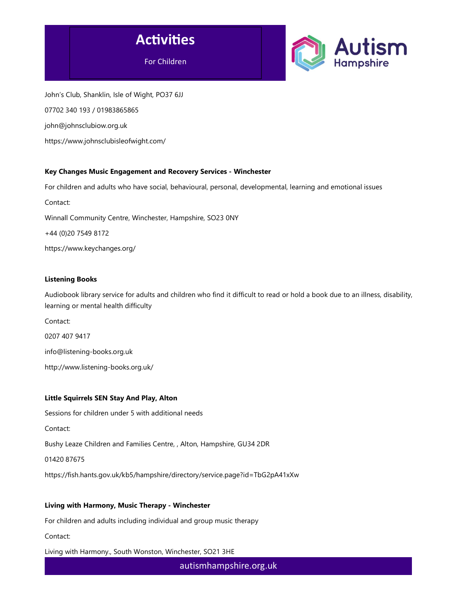



John's Club, Shanklin, Isle of Wight, PO37 6JJ 07702 340 193 / 01983865865 john@johnsclubiow.org.uk https://www.johnsclubisleofwight.com/

# Key Changes Music Engagement and Recovery Services - Winchester

For children and adults who have social, behavioural, personal, developmental, learning and emotional issues

Contact:

Winnall Community Centre, Winchester, Hampshire, SO23 0NY

+44 (0)20 7549 8172

https://www.keychanges.org/

### Listening Books

Audiobook library service for adults and children who find it difficult to read or hold a book due to an illness, disability, learning or mental health difficulty

Contact:

0207 407 9417

info@listening-books.org.uk

http://www.listening-books.org.uk/

# Little Squirrels SEN Stay And Play, Alton

Sessions for children under 5 with additional needs

Contact:

Bushy Leaze Children and Families Centre, , Alton, Hampshire, GU34 2DR

01420 87675

https://fish.hants.gov.uk/kb5/hampshire/directory/service.page?id=TbG2pA41xXw

# Living with Harmony, Music Therapy - Winchester

For children and adults including individual and group music therapy

Contact:

Living with Harmony., South Wonston, Winchester, SO21 3HE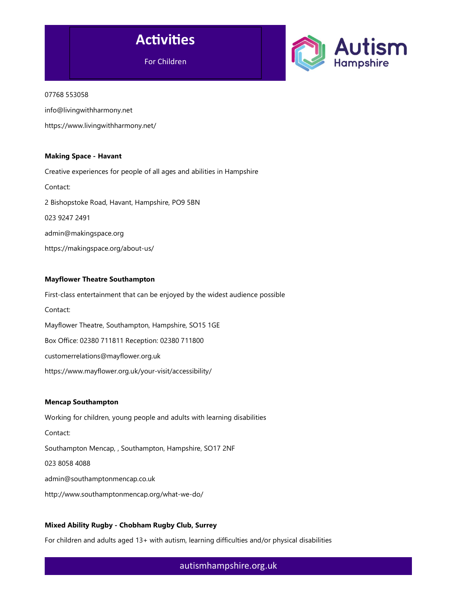



#### 07768 553058

info@livingwithharmony.net

https://www.livingwithharmony.net/

### Making Space - Havant

Creative experiences for people of all ages and abilities in Hampshire Contact: 2 Bishopstoke Road, Havant, Hampshire, PO9 5BN 023 9247 2491 admin@makingspace.org https://makingspace.org/about-us/

### Mayflower Theatre Southampton

First-class entertainment that can be enjoyed by the widest audience possible Contact: Mayflower Theatre, Southampton, Hampshire, SO15 1GE Box Office: 02380 711811 Reception: 02380 711800 customerrelations@mayflower.org.uk https://www.mayflower.org.uk/your-visit/accessibility/

### Mencap Southampton

Working for children, young people and adults with learning disabilities Contact: Southampton Mencap, , Southampton, Hampshire, SO17 2NF 023 8058 4088 admin@southamptonmencap.co.uk http://www.southamptonmencap.org/what-we-do/

# Mixed Ability Rugby - Chobham Rugby Club, Surrey

For children and adults aged 13+ with autism, learning difficulties and/or physical disabilities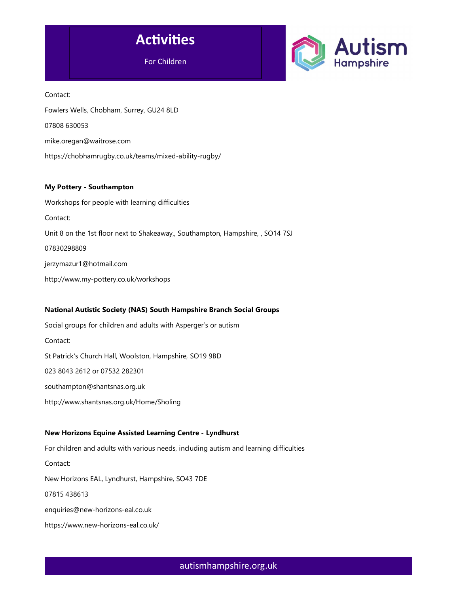



Contact: Fowlers Wells, Chobham, Surrey, GU24 8LD 07808 630053 mike.oregan@waitrose.com https://chobhamrugby.co.uk/teams/mixed-ability-rugby/

### My Pottery - Southampton

Workshops for people with learning difficulties Contact: Unit 8 on the 1st floor next to Shakeaway,, Southampton, Hampshire, , SO14 7SJ 07830298809 jerzymazur1@hotmail.com http://www.my-pottery.co.uk/workshops

# National Autistic Society (NAS) South Hampshire Branch Social Groups

Social groups for children and adults with Asperger's or autism Contact: St Patrick's Church Hall, Woolston, Hampshire, SO19 9BD 023 8043 2612 or 07532 282301 southampton@shantsnas.org.uk http://www.shantsnas.org.uk/Home/Sholing

### New Horizons Equine Assisted Learning Centre - Lyndhurst

For children and adults with various needs, including autism and learning difficulties Contact: New Horizons EAL, Lyndhurst, Hampshire, SO43 7DE 07815 438613 enquiries@new-horizons-eal.co.uk https://www.new-horizons-eal.co.uk/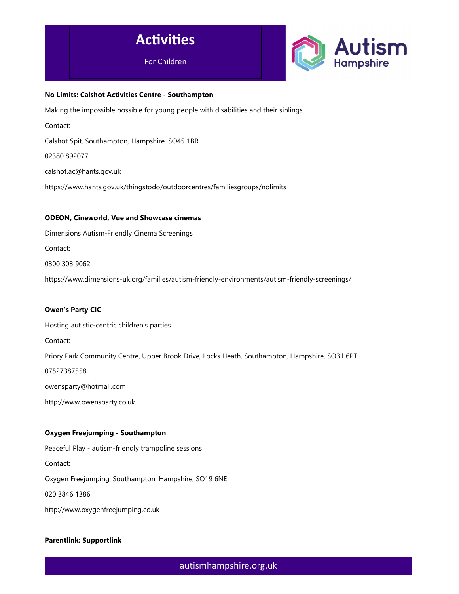



### No Limits: Calshot Activities Centre - Southampton

Making the impossible possible for young people with disabilities and their siblings

Contact:

Calshot Spit, Southampton, Hampshire, SO45 1BR

02380 892077

calshot.ac@hants.gov.uk

https://www.hants.gov.uk/thingstodo/outdoorcentres/familiesgroups/nolimits

#### ODEON, Cineworld, Vue and Showcase cinemas

Dimensions Autism-Friendly Cinema Screenings Contact:

0300 303 9062

https://www.dimensions-uk.org/families/autism-friendly-environments/autism-friendly-screenings/

### Owen's Party CIC

Hosting autistic-centric children's parties

Contact:

Priory Park Community Centre, Upper Brook Drive, Locks Heath, Southampton, Hampshire, SO31 6PT

07527387558

owensparty@hotmail.com

http://www.owensparty.co.uk

### Oxygen Freejumping - Southampton

Peaceful Play - autism-friendly trampoline sessions

Contact:

Oxygen Freejumping, Southampton, Hampshire, SO19 6NE

020 3846 1386

http://www.oxygenfreejumping.co.uk

### Parentlink: Supportlink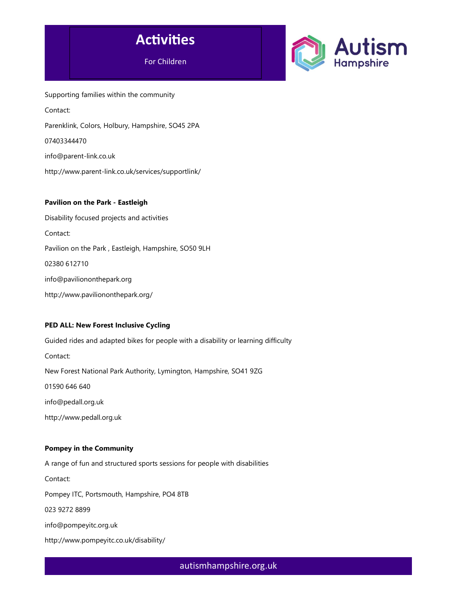



Supporting families within the community Contact: Parenklink, Colors, Holbury, Hampshire, SO45 2PA 07403344470 info@parent-link.co.uk http://www.parent-link.co.uk/services/supportlink/

# Pavilion on the Park - Eastleigh

Disability focused projects and activities Contact: Pavilion on the Park , Eastleigh, Hampshire, SO50 9LH 02380 612710 info@paviliononthepark.org http://www.paviliononthepark.org/

# PED ALL: New Forest Inclusive Cycling

Guided rides and adapted bikes for people with a disability or learning difficulty Contact: New Forest National Park Authority, Lymington, Hampshire, SO41 9ZG 01590 646 640 info@pedall.org.uk http://www.pedall.org.uk

### Pompey in the Community

A range of fun and structured sports sessions for people with disabilities Contact: Pompey ITC, Portsmouth, Hampshire, PO4 8TB 023 9272 8899 info@pompeyitc.org.uk http://www.pompeyitc.co.uk/disability/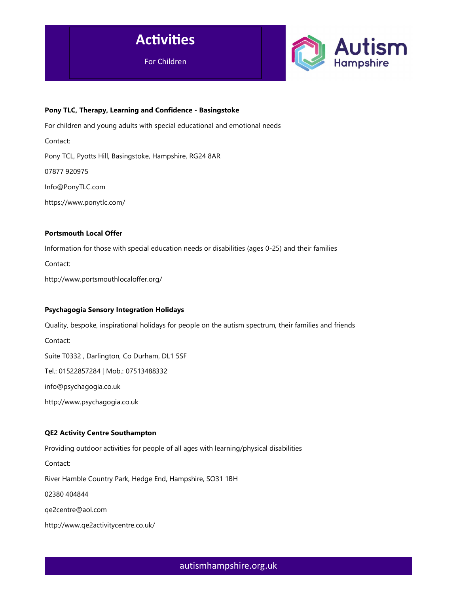



### Pony TLC, Therapy, Learning and Confidence - Basingstoke

For children and young adults with special educational and emotional needs

Contact:

Pony TCL, Pyotts Hill, Basingstoke, Hampshire, RG24 8AR

07877 920975

Info@PonyTLC.com

https://www.ponytlc.com/

### Portsmouth Local Offer

Information for those with special education needs or disabilities (ages 0-25) and their families

Contact:

http://www.portsmouthlocaloffer.org/

### Psychagogia Sensory Integration Holidays

Quality, bespoke, inspirational holidays for people on the autism spectrum, their families and friends Contact: Suite T0332 , Darlington, Co Durham, DL1 5SF Tel.: 01522857284 | Mob.: 07513488332 info@psychagogia.co.uk http://www.psychagogia.co.uk

# QE2 Activity Centre Southampton

Providing outdoor activities for people of all ages with learning/physical disabilities

Contact:

River Hamble Country Park, Hedge End, Hampshire, SO31 1BH

02380 404844

qe2centre@aol.com

http://www.qe2activitycentre.co.uk/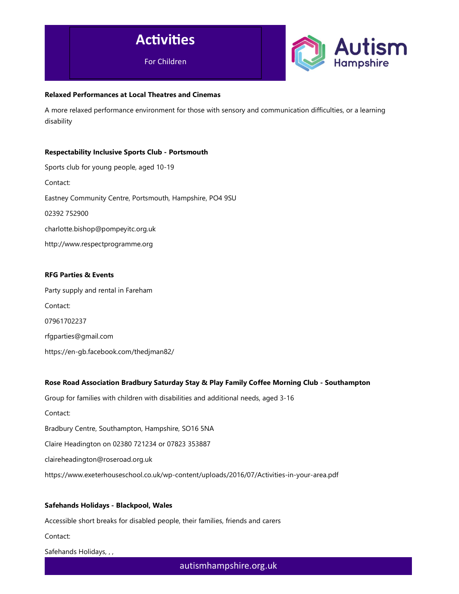



### Relaxed Performances at Local Theatres and Cinemas

A more relaxed performance environment for those with sensory and communication difficulties, or a learning disability

### Respectability Inclusive Sports Club - Portsmouth

Sports club for young people, aged 10-19 Contact: Eastney Community Centre, Portsmouth, Hampshire, PO4 9SU 02392 752900 charlotte.bishop@pompeyitc.org.uk http://www.respectprogramme.org

### RFG Parties & Events

Party supply and rental in Fareham Contact: 07961702237 rfgparties@gmail.com https://en-gb.facebook.com/thedjman82/

### Rose Road Association Bradbury Saturday Stay & Play Family Coffee Morning Club - Southampton

Group for families with children with disabilities and additional needs, aged 3-16 Contact: Bradbury Centre, Southampton, Hampshire, SO16 5NA Claire Headington on 02380 721234 or 07823 353887 claireheadington@roseroad.org.uk https://www.exeterhouseschool.co.uk/wp-content/uploads/2016/07/Activities-in-your-area.pdf

# Safehands Holidays - Blackpool, Wales

Accessible short breaks for disabled people, their families, friends and carers

Contact:

Safehands Holidays, , ,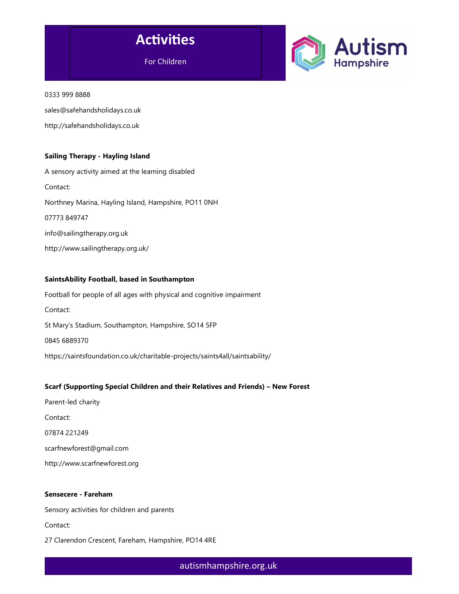



0333 999 8888

sales@safehandsholidays.co.uk

http://safehandsholidays.co.uk

### Sailing Therapy - Hayling Island

A sensory activity aimed at the learning disabled Contact: Northney Marina, Hayling Island, Hampshire, PO11 0NH 07773 849747 info@sailingtherapy.org.uk http://www.sailingtherapy.org.uk/

### SaintsAbility Football, based in Southampton

Football for people of all ages with physical and cognitive impairment Contact: St Mary's Stadium, Southampton, Hampshire, SO14 5FP 0845 6889370 https://saintsfoundation.co.uk/charitable-projects/saints4all/saintsability/

### Scarf (Supporting Special Children and their Relatives and Friends) – New Forest

Parent-led charity Contact: 07874 221249 scarfnewforest@gmail.com http://www.scarfnewforest.org

### Sensecere - Fareham

Sensory activities for children and parents

Contact:

27 Clarendon Crescent, Fareham, Hampshire, PO14 4RE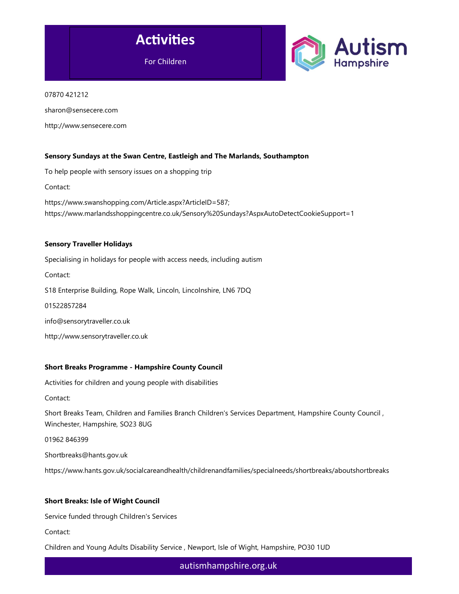



07870 421212

sharon@sensecere.com

http://www.sensecere.com

### Sensory Sundays at the Swan Centre, Eastleigh and The Marlands, Southampton

To help people with sensory issues on a shopping trip

Contact:

https://www.swanshopping.com/Article.aspx?ArticleID=587; https://www.marlandsshoppingcentre.co.uk/Sensory%20Sundays?AspxAutoDetectCookieSupport=1

#### Sensory Traveller Holidays

Specialising in holidays for people with access needs, including autism

Contact:

S18 Enterprise Building, Rope Walk, Lincoln, Lincolnshire, LN6 7DQ

01522857284

info@sensorytraveller.co.uk

http://www.sensorytraveller.co.uk

### Short Breaks Programme - Hampshire County Council

Activities for children and young people with disabilities

Contact:

Short Breaks Team, Children and Families Branch Children's Services Department, Hampshire County Council , Winchester, Hampshire, SO23 8UG

01962 846399

Shortbreaks@hants.gov.uk

https://www.hants.gov.uk/socialcareandhealth/childrenandfamilies/specialneeds/shortbreaks/aboutshortbreaks

### Short Breaks: Isle of Wight Council

Service funded through Children's Services

Contact:

Children and Young Adults Disability Service , Newport, Isle of Wight, Hampshire, PO30 1UD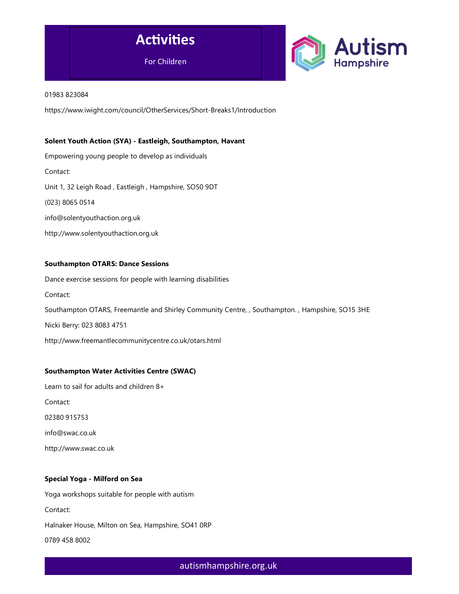



#### 01983 823084

https://www.iwight.com/council/OtherServices/Short-Breaks1/Introduction

### Solent Youth Action (SYA) - Eastleigh, Southampton, Havant

Empowering young people to develop as individuals Contact: Unit 1, 32 Leigh Road , Eastleigh , Hampshire, SO50 9DT (023) 8065 0514 info@solentyouthaction.org.uk http://www.solentyouthaction.org.uk

### Southampton OTARS: Dance Sessions

Dance exercise sessions for people with learning disabilities Contact: Southampton OTARS, Freemantle and Shirley Community Centre, , Southampton. , Hampshire, SO15 3HE Nicki Berry: 023 8083 4751 http://www.freemantlecommunitycentre.co.uk/otars.html

### Southampton Water Activities Centre (SWAC)

Learn to sail for adults and children 8+

Contact:

02380 915753

info@swac.co.uk

http://www.swac.co.uk

### Special Yoga - Milford on Sea

Yoga workshops suitable for people with autism Contact: Halnaker House, Milton on Sea, Hampshire, SO41 0RP 0789 458 8002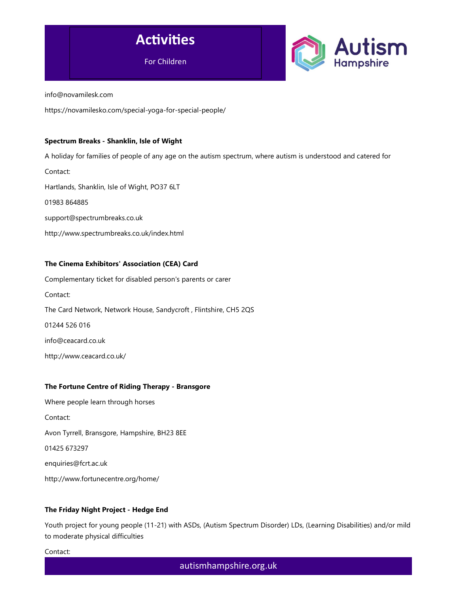

info@novamilesk.com

https://novamilesko.com/special-yoga-for-special-people/

### Spectrum Breaks - Shanklin, Isle of Wight

A holiday for families of people of any age on the autism spectrum, where autism is understood and catered for Contact: Hartlands, Shanklin, Isle of Wight, PO37 6LT 01983 864885 support@spectrumbreaks.co.uk http://www.spectrumbreaks.co.uk/index.html

### The Cinema Exhibitors' Association (CEA) Card

Complementary ticket for disabled person's parents or carer Contact: The Card Network, Network House, Sandycroft , Flintshire, CH5 2QS 01244 526 016 info@ceacard.co.uk

http://www.ceacard.co.uk/

### The Fortune Centre of Riding Therapy - Bransgore

Where people learn through horses Contact: Avon Tyrrell, Bransgore, Hampshire, BH23 8EE 01425 673297 enquiries@fcrt.ac.uk http://www.fortunecentre.org/home/

# The Friday Night Project - Hedge End

Youth project for young people (11-21) with ASDs, (Autism Spectrum Disorder) LDs, (Learning Disabilities) and/or mild to moderate physical difficulties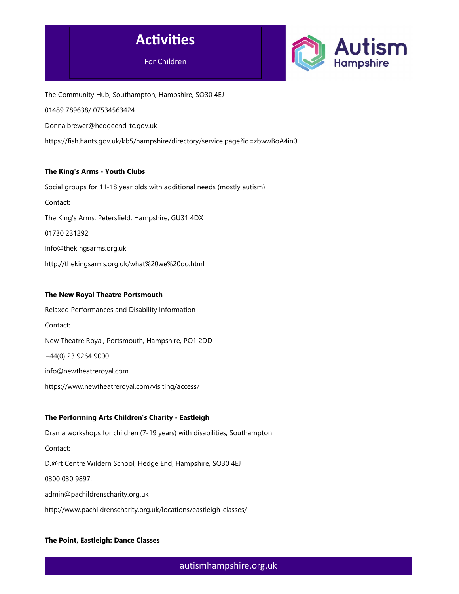



The Community Hub, Southampton, Hampshire, SO30 4EJ

01489 789638/ 07534563424

Donna.brewer@hedgeend-tc.gov.uk

https://fish.hants.gov.uk/kb5/hampshire/directory/service.page?id=zbwwBoA4in0

# The King's Arms - Youth Clubs

Social groups for 11-18 year olds with additional needs (mostly autism) Contact: The King's Arms, Petersfield, Hampshire, GU31 4DX 01730 231292 Info@thekingsarms.org.uk http://thekingsarms.org.uk/what%20we%20do.html

### The New Royal Theatre Portsmouth

Relaxed Performances and Disability Information Contact: New Theatre Royal, Portsmouth, Hampshire, PO1 2DD +44(0) 23 9264 9000 info@newtheatreroyal.com https://www.newtheatreroyal.com/visiting/access/

# The Performing Arts Children's Charity - Eastleigh

Drama workshops for children (7-19 years) with disabilities, Southampton Contact: D.@rt Centre Wildern School, Hedge End, Hampshire, SO30 4EJ 0300 030 9897. admin@pachildrenscharity.org.uk http://www.pachildrenscharity.org.uk/locations/eastleigh-classes/

# The Point, Eastleigh: Dance Classes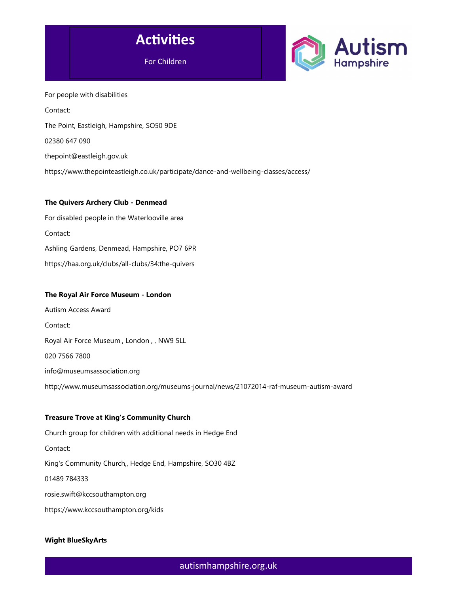



For people with disabilities Contact: The Point, Eastleigh, Hampshire, SO50 9DE 02380 647 090 thepoint@eastleigh.gov.uk https://www.thepointeastleigh.co.uk/participate/dance-and-wellbeing-classes/access/

### The Quivers Archery Club - Denmead

For disabled people in the Waterlooville area Contact: Ashling Gardens, Denmead, Hampshire, PO7 6PR https://haa.org.uk/clubs/all-clubs/34:the-quivers

### The Royal Air Force Museum - London

Autism Access Award Contact: Royal Air Force Museum , London , , NW9 5LL 020 7566 7800 info@museumsassociation.org http://www.museumsassociation.org/museums-journal/news/21072014-raf-museum-autism-award

### Treasure Trove at King's Community Church

Church group for children with additional needs in Hedge End Contact: King's Community Church,, Hedge End, Hampshire, SO30 4BZ 01489 784333 rosie.swift@kccsouthampton.org https://www.kccsouthampton.org/kids

# Wight BlueSkyArts